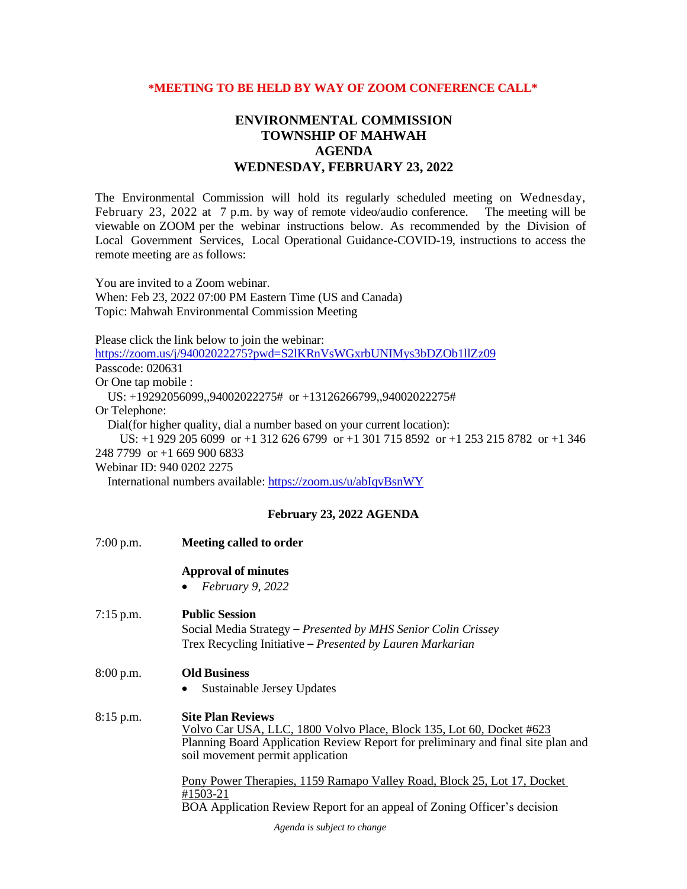## **\*MEETING TO BE HELD BY WAY OF ZOOM CONFERENCE CALL\***

## **ENVIRONMENTAL COMMISSION TOWNSHIP OF MAHWAH AGENDA WEDNESDAY, FEBRUARY 23, 2022**

The Environmental Commission will hold its regularly scheduled meeting on Wednesday, February 23, 2022 at 7 p.m. by way of remote video/audio conference. The meeting will be viewable on ZOOM per the webinar instructions below. As recommended by the Division of Local Government Services, Local Operational Guidance-COVID-19, instructions to access the remote meeting are as follows:

You are invited to a Zoom webinar. When: Feb 23, 2022 07:00 PM Eastern Time (US and Canada) Topic: Mahwah Environmental Commission Meeting

Please click the link below to join the webinar:

<https://zoom.us/j/94002022275?pwd=S2lKRnVsWGxrbUNIMys3bDZOb1llZz09> Passcode: 020631

Or One tap mobile :

US: +19292056099,,94002022275# or +13126266799,,94002022275#

Or Telephone:

Dial(for higher quality, dial a number based on your current location):

US: +1 929 205 6099 or +1 312 626 6799 or +1 301 715 8592 or +1 253 215 8782 or +1 346

248 7799 or +1 669 900 6833

Webinar ID: 940 0202 2275

International numbers available:<https://zoom.us/u/abIqvBsnWY>

## **February 23, 2022 AGENDA**

| $7:00$ p.m. | Meeting called to order                                                                                                                                                                                                  |
|-------------|--------------------------------------------------------------------------------------------------------------------------------------------------------------------------------------------------------------------------|
|             | <b>Approval of minutes</b><br>February 9, 2022<br>$\bullet$                                                                                                                                                              |
| $7:15$ p.m. | <b>Public Session</b><br>Social Media Strategy – Presented by MHS Senior Colin Crissey<br>Trex Recycling Initiative – Presented by Lauren Markarian                                                                      |
| 8:00 p.m.   | <b>Old Business</b><br>Sustainable Jersey Updates                                                                                                                                                                        |
| $8:15$ p.m. | <b>Site Plan Reviews</b><br>Volvo Car USA, LLC, 1800 Volvo Place, Block 135, Lot 60, Docket #623<br>Planning Board Application Review Report for preliminary and final site plan and<br>soil movement permit application |
|             | Pony Power Therapies, 1159 Ramapo Valley Road, Block 25, Lot 17, Docket<br>#1503-21<br>BOA Application Review Report for an appeal of Zoning Officer's decision                                                          |
|             | <i>Agonda is subject to change</i>                                                                                                                                                                                       |

*Agenda is subject to change*